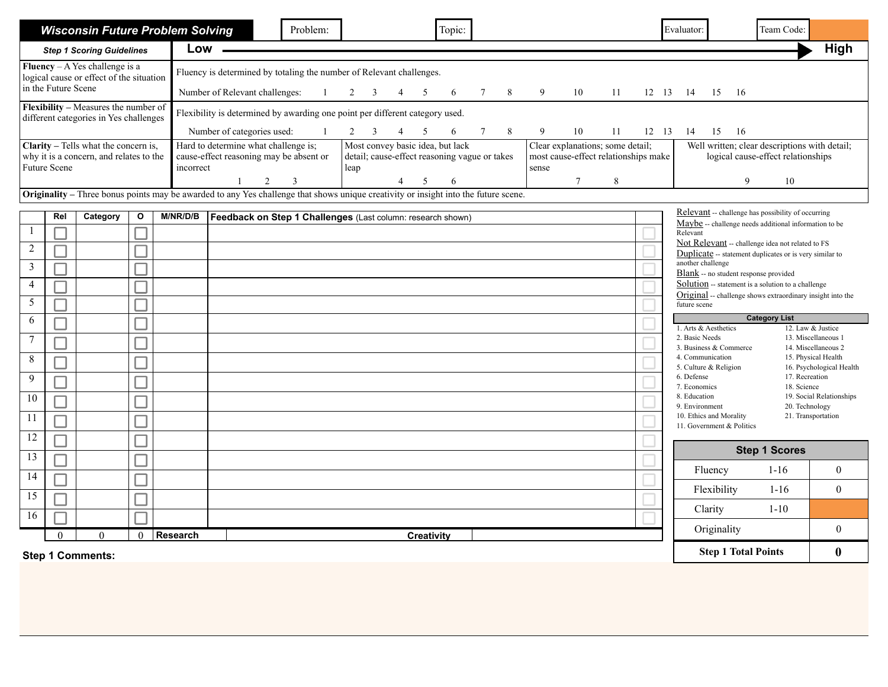|                                                                                                      |                                                                                                                                     | <b>Wisconsin Future Problem Solving</b>                                         |              |                 |                                                                                                                                                                                                                                                                                                                                 | Problem:     |             |                             | Topic: |                 |   |                                                                                                |    |    |          | Evaluator:                                                                                                                                                                                                                                                                                                                                                                                                                                                                                                                                                                                                                                                         |      | Team Code:                                                                                    |                                                                                                                                                |
|------------------------------------------------------------------------------------------------------|-------------------------------------------------------------------------------------------------------------------------------------|---------------------------------------------------------------------------------|--------------|-----------------|---------------------------------------------------------------------------------------------------------------------------------------------------------------------------------------------------------------------------------------------------------------------------------------------------------------------------------|--------------|-------------|-----------------------------|--------|-----------------|---|------------------------------------------------------------------------------------------------|----|----|----------|--------------------------------------------------------------------------------------------------------------------------------------------------------------------------------------------------------------------------------------------------------------------------------------------------------------------------------------------------------------------------------------------------------------------------------------------------------------------------------------------------------------------------------------------------------------------------------------------------------------------------------------------------------------------|------|-----------------------------------------------------------------------------------------------|------------------------------------------------------------------------------------------------------------------------------------------------|
|                                                                                                      |                                                                                                                                     | <b>Step 1 Scoring Guidelines</b>                                                |              | Low -           |                                                                                                                                                                                                                                                                                                                                 |              |             |                             |        |                 |   |                                                                                                |    |    |          |                                                                                                                                                                                                                                                                                                                                                                                                                                                                                                                                                                                                                                                                    |      |                                                                                               | High                                                                                                                                           |
|                                                                                                      | in the Future Scene                                                                                                                 | Fluency $-A$ Yes challenge is a<br>logical cause or effect of the situation     |              |                 | Fluency is determined by totaling the number of Relevant challenges.<br>Number of Relevant challenges:                                                                                                                                                                                                                          | $\mathbf{1}$ | $2 \quad 3$ | $4\overline{ }$<br>5        | 6      | $7\phantom{.0}$ | 8 | 9                                                                                              | 10 | 11 | 12 13 14 | 15                                                                                                                                                                                                                                                                                                                                                                                                                                                                                                                                                                                                                                                                 | - 16 |                                                                                               |                                                                                                                                                |
|                                                                                                      |                                                                                                                                     | Flexibility - Measures the number of<br>different categories in Yes challenges  |              |                 | Flexibility is determined by awarding one point per different category used.<br>Number of categories used:                                                                                                                                                                                                                      |              |             | $2 \quad 3 \quad 4 \quad 5$ | 6      | $7\overline{ }$ | 8 | 9                                                                                              | 10 | 11 | 12 13    | 15<br>14                                                                                                                                                                                                                                                                                                                                                                                                                                                                                                                                                                                                                                                           | - 16 |                                                                                               |                                                                                                                                                |
|                                                                                                      | <b>Future Scene</b>                                                                                                                 | Clarity - Tells what the concern is,<br>why it is a concern, and relates to the |              |                 | Most convey basic idea, but lack<br>Hard to determine what challenge is;<br>Clear explanations; some detail;<br>cause-effect reasoning may be absent or<br>detail; cause-effect reasoning vague or takes<br>most cause-effect relationships make<br>incorrect<br>leap<br>sense<br>$\tau$<br>$8\,$<br>2<br>3<br>1<br>5<br>6<br>4 |              |             |                             |        |                 |   | Well written; clear descriptions with detail;<br>logical cause-effect relationships<br>9<br>10 |    |    |          |                                                                                                                                                                                                                                                                                                                                                                                                                                                                                                                                                                                                                                                                    |      |                                                                                               |                                                                                                                                                |
|                                                                                                      | Originality – Three bonus points may be awarded to any Yes challenge that shows unique creativity or insight into the future scene. |                                                                                 |              |                 |                                                                                                                                                                                                                                                                                                                                 |              |             |                             |        |                 |   |                                                                                                |    |    |          |                                                                                                                                                                                                                                                                                                                                                                                                                                                                                                                                                                                                                                                                    |      |                                                                                               |                                                                                                                                                |
| $\overline{2}$<br>$\mathfrak{Z}$<br>$\overline{4}$<br>5<br>6<br>$\overline{7}$<br>8<br>9<br>10<br>11 | Rel                                                                                                                                 | Category                                                                        | $\mathbf{o}$ | M/NR/D/B        | Feedback on Step 1 Challenges (Last column: research shown)                                                                                                                                                                                                                                                                     |              |             |                             |        |                 |   |                                                                                                |    |    |          | Relevant -- challenge has possibility of occurring<br>Maybe -- challenge needs additional information to be<br>Relevant<br>Not Relevant -- challenge idea not related to FS<br>Duplicate -- statement duplicates or is very similar to<br>another challenge<br><b>Blank</b> -- no student response provided<br><b>Solution</b> -- statement is a solution to a challenge<br>Original -- challenge shows extraordinary insight into the<br>future scene<br>1. Arts & Aesthetics<br>2. Basic Needs<br>3. Business & Commerce<br>4. Communication<br>5. Culture & Religion<br>6. Defense<br>7. Economics<br>8. Education<br>9. Environment<br>10. Ethics and Morality |      | <b>Category List</b><br>17. Recreation<br>18. Science<br>20. Technology<br>21. Transportation | 12. Law & Justice<br>13. Miscellaneous 1<br>14. Miscellaneous 2<br>15. Physical Health<br>16. Psychological Health<br>19. Social Relationships |
| 12                                                                                                   |                                                                                                                                     |                                                                                 |              |                 |                                                                                                                                                                                                                                                                                                                                 |              |             |                             |        |                 |   |                                                                                                |    |    |          | 11. Government & Politics                                                                                                                                                                                                                                                                                                                                                                                                                                                                                                                                                                                                                                          |      |                                                                                               |                                                                                                                                                |
| $\overline{13}$                                                                                      |                                                                                                                                     |                                                                                 |              |                 |                                                                                                                                                                                                                                                                                                                                 |              |             |                             |        |                 |   |                                                                                                |    |    |          |                                                                                                                                                                                                                                                                                                                                                                                                                                                                                                                                                                                                                                                                    |      | <b>Step 1 Scores</b>                                                                          |                                                                                                                                                |
| 14                                                                                                   |                                                                                                                                     |                                                                                 |              |                 |                                                                                                                                                                                                                                                                                                                                 |              |             |                             |        |                 |   |                                                                                                |    |    |          | Fluency                                                                                                                                                                                                                                                                                                                                                                                                                                                                                                                                                                                                                                                            |      | $1 - 16$                                                                                      | $\theta$                                                                                                                                       |
| 15                                                                                                   |                                                                                                                                     |                                                                                 |              |                 |                                                                                                                                                                                                                                                                                                                                 |              |             |                             |        |                 |   |                                                                                                |    |    |          | Flexibility                                                                                                                                                                                                                                                                                                                                                                                                                                                                                                                                                                                                                                                        |      | $1 - 16$                                                                                      | $\theta$                                                                                                                                       |
| 16                                                                                                   |                                                                                                                                     |                                                                                 |              |                 |                                                                                                                                                                                                                                                                                                                                 |              |             |                             |        |                 |   |                                                                                                |    |    |          | Clarity                                                                                                                                                                                                                                                                                                                                                                                                                                                                                                                                                                                                                                                            |      | $1 - 10$                                                                                      |                                                                                                                                                |
|                                                                                                      | $\Omega$                                                                                                                            | $\Omega$                                                                        | $\Omega$     | <b>Research</b> |                                                                                                                                                                                                                                                                                                                                 |              |             | <b>Creativity</b>           |        |                 |   |                                                                                                |    |    |          | Originality                                                                                                                                                                                                                                                                                                                                                                                                                                                                                                                                                                                                                                                        |      |                                                                                               | $\theta$                                                                                                                                       |
|                                                                                                      |                                                                                                                                     | <b>Step 1 Comments:</b>                                                         |              |                 |                                                                                                                                                                                                                                                                                                                                 |              |             |                             |        |                 |   |                                                                                                |    |    |          | <b>Step 1 Total Points</b>                                                                                                                                                                                                                                                                                                                                                                                                                                                                                                                                                                                                                                         |      |                                                                                               | $\boldsymbol{0}$                                                                                                                               |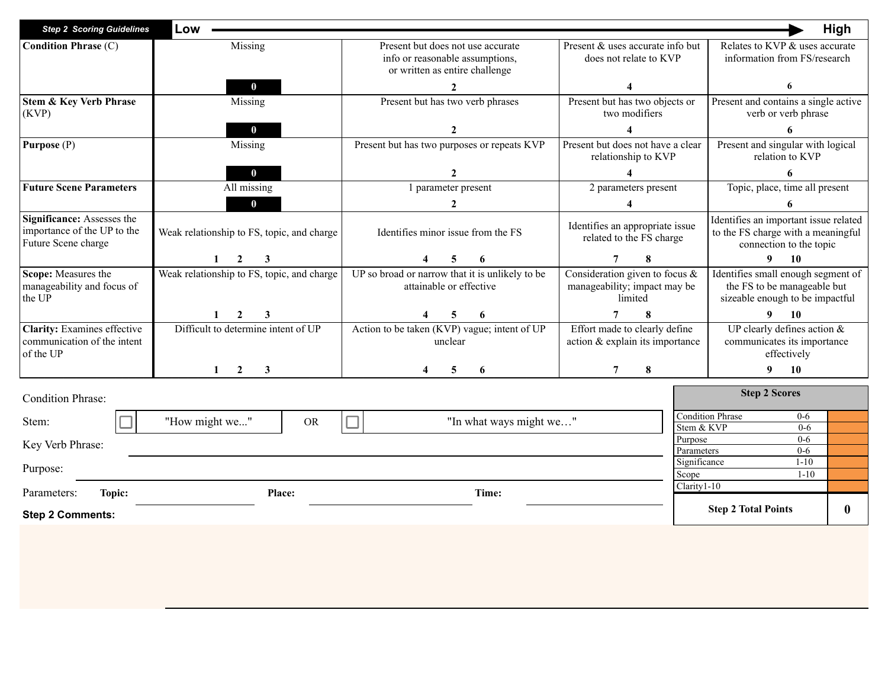| <b>Step 2 Scoring Guidelines</b>                                                 | Low                                        |                                                                                                        |                                                                              | High                                                                                                   |  |  |
|----------------------------------------------------------------------------------|--------------------------------------------|--------------------------------------------------------------------------------------------------------|------------------------------------------------------------------------------|--------------------------------------------------------------------------------------------------------|--|--|
| <b>Condition Phrase (C)</b>                                                      | Missing                                    | Present but does not use accurate<br>info or reasonable assumptions,<br>or written as entire challenge | Present & uses accurate info but<br>does not relate to KVP                   | Relates to KVP & uses accurate<br>information from FS/research                                         |  |  |
|                                                                                  | $\bf{0}$                                   |                                                                                                        |                                                                              | 6                                                                                                      |  |  |
| <b>Stem &amp; Key Verb Phrase</b><br>(KVP)                                       | Missing                                    | Present but has two verb phrases                                                                       | Present but has two objects or<br>two modifiers                              | Present and contains a single active<br>verb or verb phrase                                            |  |  |
|                                                                                  | $\bf{0}$                                   | $\mathcal{L}$                                                                                          |                                                                              |                                                                                                        |  |  |
| Purpose (P)                                                                      | Missing                                    | Present but has two purposes or repeats KVP                                                            | Present but does not have a clear<br>relationship to KVP                     | Present and singular with logical<br>relation to KVP                                                   |  |  |
|                                                                                  | $\bf{0}$                                   |                                                                                                        |                                                                              |                                                                                                        |  |  |
| <b>Future Scene Parameters</b>                                                   | All missing                                | 1 parameter present                                                                                    | 2 parameters present                                                         | Topic, place, time all present                                                                         |  |  |
|                                                                                  | $\bf{0}$                                   | $\overline{2}$                                                                                         |                                                                              |                                                                                                        |  |  |
| Significance: Assesses the<br>importance of the UP to the<br>Future Scene charge | Weak relationship to FS, topic, and charge | Identifies minor issue from the FS                                                                     | Identifies an appropriate issue<br>related to the FS charge                  | Identifies an important issue related<br>to the FS charge with a meaningful<br>connection to the topic |  |  |
|                                                                                  |                                            | 5                                                                                                      |                                                                              | 10<br>9.                                                                                               |  |  |
| Scope: Measures the<br>manageability and focus of<br>the UP                      | Weak relationship to FS, topic, and charge | UP so broad or narrow that it is unlikely to be<br>attainable or effective                             | Consideration given to focus $\&$<br>manageability; impact may be<br>limited | Identifies small enough segment of<br>the FS to be manageable but<br>sizeable enough to be impactful   |  |  |
|                                                                                  |                                            |                                                                                                        |                                                                              | 10                                                                                                     |  |  |
| <b>Clarity:</b> Examines effective<br>communication of the intent<br>of the UP   | Difficult to determine intent of UP        | Action to be taken (KVP) vague; intent of UP<br>unclear                                                | Effort made to clearly define<br>action & explain its importance             | UP clearly defines action $\&$<br>communicates its importance<br>effectively                           |  |  |
|                                                                                  | $\overline{2}$<br>3                        | 5<br>6                                                                                                 | 8                                                                            | 9<br><b>10</b>                                                                                         |  |  |
| <b>Condition Phrase:</b>                                                         |                                            |                                                                                                        |                                                                              | <b>Step 2 Scores</b>                                                                                   |  |  |
| Stem:                                                                            | "How might we"<br><b>OR</b>                | "In what ways might we"                                                                                | Stem & KVP                                                                   | Condition Phrase<br>$0-6$<br>$0 - 6$                                                                   |  |  |
| Key Verb Phrase:                                                                 |                                            |                                                                                                        | Purpose                                                                      | $0 - 6$                                                                                                |  |  |
|                                                                                  |                                            |                                                                                                        | Parameters                                                                   | $0 - 6$                                                                                                |  |  |
| Purpose:                                                                         |                                            |                                                                                                        | Significance<br>Scope                                                        | $1 - 10$<br>$1 - 10$                                                                                   |  |  |

Parameters: **Topic: Place: Place: Time: Time: Place: Time: Place: Place: Place: Place: Place: Place: Place: Place: Place: Place: Place: Place: Place: Place: Place: Place: Place** 

**Step 2 Comments:**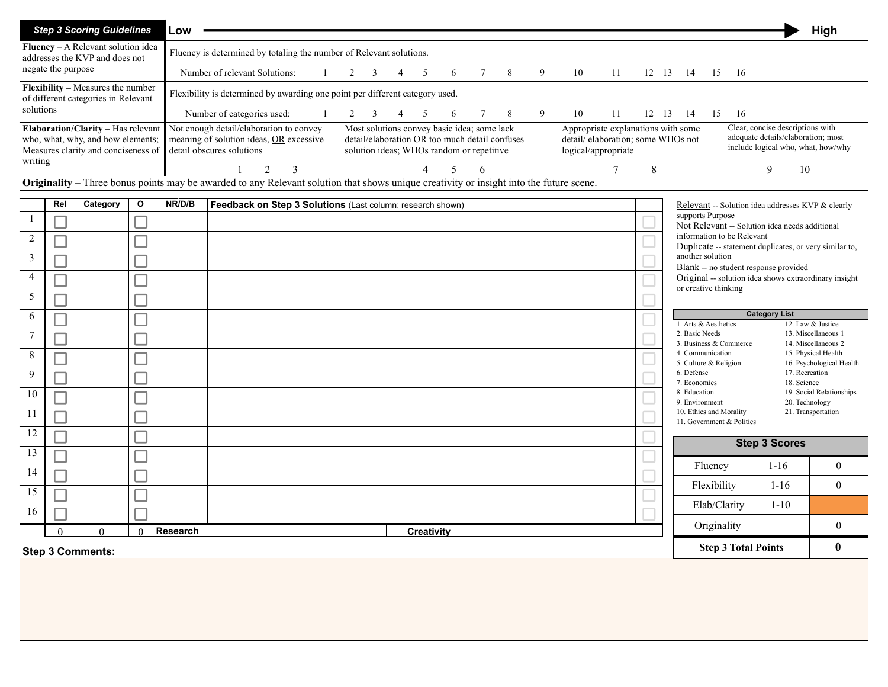|                |                    | <b>Step 3 Scoring Guidelines</b>                                                                                                               |   | Low                                                                                                                                                                                                                                                                                                                                                             |                                                                              |  |  |  |  |  |  |  |                                                                                                              |  |    |     |    |    |    |                                                                  |                      |    |                            |                      | High                                                   |  |
|----------------|--------------------|------------------------------------------------------------------------------------------------------------------------------------------------|---|-----------------------------------------------------------------------------------------------------------------------------------------------------------------------------------------------------------------------------------------------------------------------------------------------------------------------------------------------------------------|------------------------------------------------------------------------------|--|--|--|--|--|--|--|--------------------------------------------------------------------------------------------------------------|--|----|-----|----|----|----|------------------------------------------------------------------|----------------------|----|----------------------------|----------------------|--------------------------------------------------------|--|
|                |                    | Fluency - A Relevant solution idea<br>addresses the KVP and does not                                                                           |   |                                                                                                                                                                                                                                                                                                                                                                 | Fluency is determined by totaling the number of Relevant solutions.          |  |  |  |  |  |  |  |                                                                                                              |  |    |     |    |    |    |                                                                  |                      |    |                            |                      |                                                        |  |
|                | negate the purpose |                                                                                                                                                |   | Number of relevant Solutions:<br>8<br>9<br>10<br>11<br>12 13<br>6<br>-14                                                                                                                                                                                                                                                                                        |                                                                              |  |  |  |  |  |  |  |                                                                                                              |  | 15 | -16 |    |    |    |                                                                  |                      |    |                            |                      |                                                        |  |
|                |                    | Flexibility - Measures the number<br>of different categories in Relevant                                                                       |   |                                                                                                                                                                                                                                                                                                                                                                 | Flexibility is determined by awarding one point per different category used. |  |  |  |  |  |  |  |                                                                                                              |  |    |     |    |    |    |                                                                  |                      |    |                            |                      |                                                        |  |
| solutions      |                    |                                                                                                                                                |   |                                                                                                                                                                                                                                                                                                                                                                 | Number of categories used:                                                   |  |  |  |  |  |  |  | 6                                                                                                            |  | 8  | 9   | 10 | 11 | 12 | 13                                                               | 14                   | 15 | -16                        |                      |                                                        |  |
|                |                    | Elaboration/Clarity - Has relevant<br>who, what, why, and how elements;<br>Measures clarity and conciseness of                                 |   | Not enough detail/elaboration to convey<br>Most solutions convey basic idea; some lack<br>Appropriate explanations with some<br>detail/elaboration OR too much detail confuses<br>detail/elaboration; some WHOs not<br>meaning of solution ideas, OR excessive<br>detail obscures solutions<br>solution ideas; WHOs random or repetitive<br>logical/appropriate |                                                                              |  |  |  |  |  |  |  | Clear, concise descriptions with<br>adequate details/elaboration; most<br>include logical who, what, how/why |  |    |     |    |    |    |                                                                  |                      |    |                            |                      |                                                        |  |
| writing        |                    |                                                                                                                                                |   |                                                                                                                                                                                                                                                                                                                                                                 |                                                                              |  |  |  |  |  |  |  |                                                                                                              |  |    |     |    |    | 8  |                                                                  |                      |    |                            | 9                    | 10                                                     |  |
|                |                    | <b>Originality</b> – Three bonus points may be awarded to any Relevant solution that shows unique creativity or insight into the future scene. |   |                                                                                                                                                                                                                                                                                                                                                                 |                                                                              |  |  |  |  |  |  |  |                                                                                                              |  |    |     |    |    |    |                                                                  |                      |    |                            |                      |                                                        |  |
|                | Rel                | Category                                                                                                                                       | O | NR/D/B                                                                                                                                                                                                                                                                                                                                                          | Feedback on Step 3 Solutions (Last column: research shown)                   |  |  |  |  |  |  |  |                                                                                                              |  |    |     |    |    |    |                                                                  |                      |    |                            |                      | Relevant -- Solution idea addresses KVP & clearly      |  |
|                |                    |                                                                                                                                                |   |                                                                                                                                                                                                                                                                                                                                                                 |                                                                              |  |  |  |  |  |  |  |                                                                                                              |  |    |     |    |    |    |                                                                  | supports Purpose     |    |                            |                      | Not Relevant -- Solution idea needs additional         |  |
| $\overline{2}$ |                    |                                                                                                                                                |   |                                                                                                                                                                                                                                                                                                                                                                 |                                                                              |  |  |  |  |  |  |  |                                                                                                              |  |    |     |    |    |    |                                                                  |                      |    | information to be Relevant |                      | Duplicate -- statement duplicates, or very similar to, |  |
| 3              |                    |                                                                                                                                                |   |                                                                                                                                                                                                                                                                                                                                                                 |                                                                              |  |  |  |  |  |  |  |                                                                                                              |  |    |     |    |    |    | another solution<br><b>Blank</b> -- no student response provided |                      |    |                            |                      |                                                        |  |
| $\overline{4}$ |                    |                                                                                                                                                |   | Original -- solution idea shows extraordinary insight<br>or creative thinking                                                                                                                                                                                                                                                                                   |                                                                              |  |  |  |  |  |  |  |                                                                                                              |  |    |     |    |    |    |                                                                  |                      |    |                            |                      |                                                        |  |
| 5              |                    |                                                                                                                                                |   |                                                                                                                                                                                                                                                                                                                                                                 |                                                                              |  |  |  |  |  |  |  |                                                                                                              |  |    |     |    |    |    |                                                                  |                      |    |                            |                      |                                                        |  |
| 6              |                    |                                                                                                                                                |   |                                                                                                                                                                                                                                                                                                                                                                 |                                                                              |  |  |  |  |  |  |  |                                                                                                              |  |    |     |    |    |    |                                                                  | 1. Arts & Aesthetics |    |                            | <b>Category List</b> | 12. Law & Justice                                      |  |
| $\mathbf{7}$   |                    |                                                                                                                                                |   |                                                                                                                                                                                                                                                                                                                                                                 |                                                                              |  |  |  |  |  |  |  |                                                                                                              |  |    |     |    |    |    |                                                                  | 2. Basic Needs       |    |                            |                      | 13. Miscellaneous                                      |  |

| -9<br>10<br>-11<br>12 |          |                         |                               |  | 6. Defense<br>7. Economics<br>8. Education<br>9. Environment<br>10. Ethics and Morality<br>11. Government & Politics | 17. Recreation<br>18. Science<br>20. Technology | 19. Social Relationships<br>21. Transportation |
|-----------------------|----------|-------------------------|-------------------------------|--|----------------------------------------------------------------------------------------------------------------------|-------------------------------------------------|------------------------------------------------|
| 13                    |          |                         |                               |  | <b>Step 3 Scores</b>                                                                                                 |                                                 |                                                |
| 14                    |          |                         |                               |  | Fluency<br>Flexibility                                                                                               | $1 - 16$<br>$1 - 16$                            |                                                |
| 15<br>16              |          |                         |                               |  | Elab/Clarity                                                                                                         | $1 - 10$                                        |                                                |
|                       | $\Omega$ |                         | Research<br><b>Creativity</b> |  | Originality                                                                                                          |                                                 |                                                |
|                       |          | <b>Step 3 Comments:</b> | <b>Step 3 Total Points</b>    |  | 0                                                                                                                    |                                                 |                                                |

13. Miscellaneous 1<br>14. Miscellaneous 2

3. Business & Commerce 14. Miscellaneous 2<br>4. Communication 15. Physical Health

5. Culture & Religion 16. Psychological Health<br>6. Defense 17. Recreation

4. Communication 5. Culture  $&$  Religion

7

 $\Box$ 

 $\Box$ 

8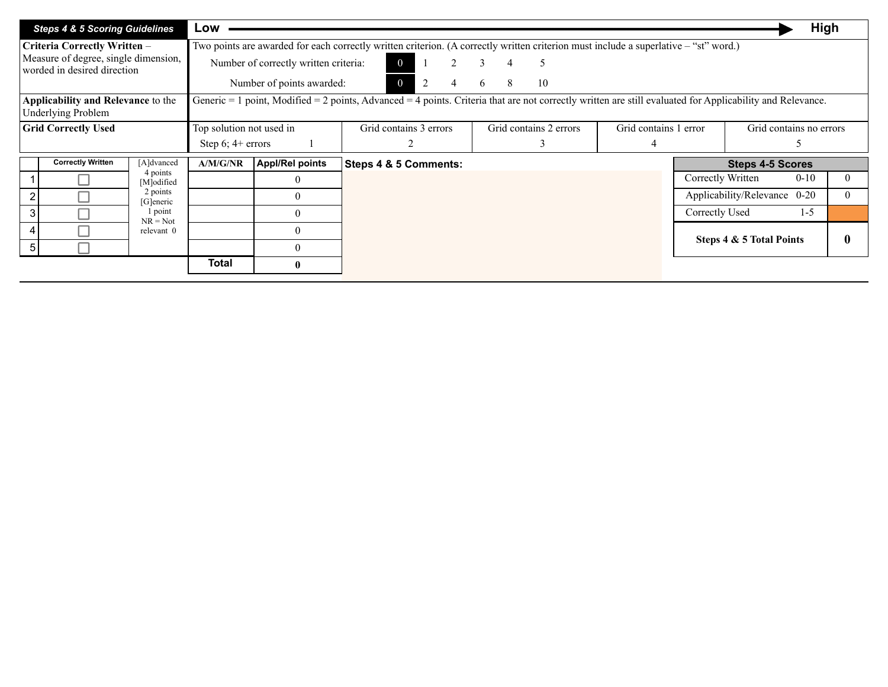| <b>Steps 4 &amp; 5 Scoring Guidelines</b>                           | Low                      |                                       |                                                                                                                                                           |                        |                       |                   | <b>High</b>                  |   |
|---------------------------------------------------------------------|--------------------------|---------------------------------------|-----------------------------------------------------------------------------------------------------------------------------------------------------------|------------------------|-----------------------|-------------------|------------------------------|---|
| Criteria Correctly Written -                                        |                          |                                       | Two points are awarded for each correctly written criterion. (A correctly written criterion must include a superlative – "st" word.)                      |                        |                       |                   |                              |   |
| Measure of degree, single dimension,<br>worded in desired direction |                          | Number of correctly written criteria: |                                                                                                                                                           | 5                      |                       |                   |                              |   |
|                                                                     |                          | Number of points awarded:             | $\Omega$<br>2<br>4                                                                                                                                        | 8<br>10<br>6           |                       |                   |                              |   |
| Applicability and Relevance to the<br><b>Underlying Problem</b>     |                          |                                       | Generic = 1 point, Modified = 2 points, Advanced = 4 points. Criteria that are not correctly written are still evaluated for Applicability and Relevance. |                        |                       |                   |                              |   |
| <b>Grid Correctly Used</b>                                          | Top solution not used in |                                       | Grid contains 3 errors                                                                                                                                    | Grid contains 2 errors | Grid contains 1 error |                   | Grid contains no errors      |   |
|                                                                     | Step $6$ ; $4+$ errors   |                                       |                                                                                                                                                           | 3                      | 4                     |                   |                              |   |
| <b>Correctly Written</b><br>[A]dvanced                              | A/M/G/NR                 | <b>Appl/Rel points</b>                | Steps 4 & 5 Comments:                                                                                                                                     |                        |                       |                   | <b>Steps 4-5 Scores</b>      |   |
| 4 points<br>[M]odified                                              |                          | $\Omega$                              |                                                                                                                                                           |                        |                       | Correctly Written | $0 - 10$                     |   |
| 2 points<br>[G]eneric                                               |                          | $\theta$                              |                                                                                                                                                           |                        |                       |                   | Applicability/Relevance 0-20 |   |
| 1 point<br>$NR = Not$                                               |                          | $\theta$                              |                                                                                                                                                           |                        |                       | Correctly Used    | $1-5$                        |   |
| relevant 0                                                          |                          | $\theta$                              |                                                                                                                                                           |                        |                       |                   |                              |   |
|                                                                     |                          | $\theta$                              |                                                                                                                                                           |                        |                       |                   | Steps 4 & 5 Total Points     | 0 |
|                                                                     | Total                    | $\mathbf{0}$                          |                                                                                                                                                           |                        |                       |                   |                              |   |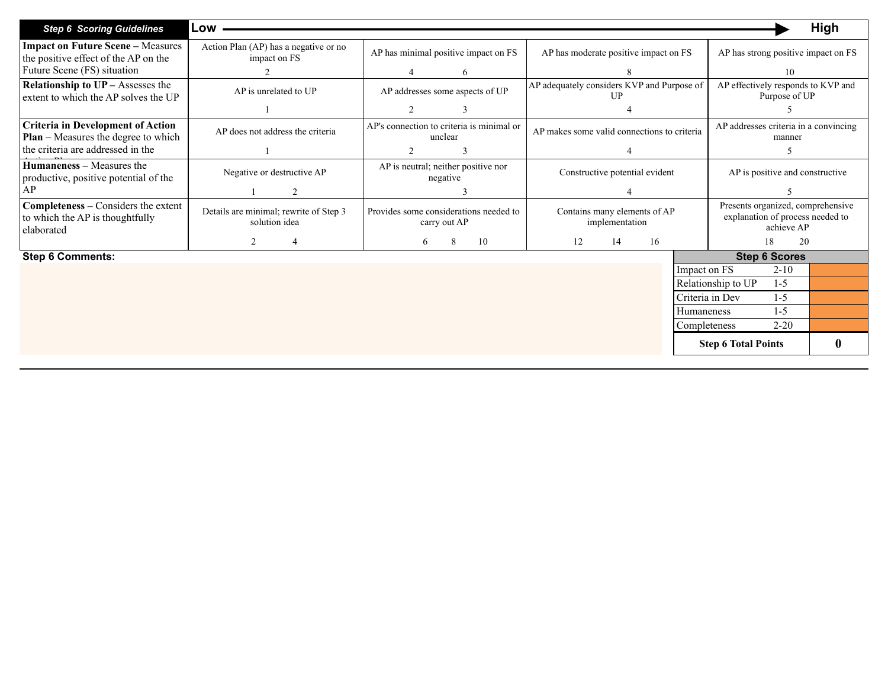| <b>Step 6 Scoring Guidelines</b>                                                              | Low                                                     |                                                        |                                                    | High                                                                                |  |  |  |
|-----------------------------------------------------------------------------------------------|---------------------------------------------------------|--------------------------------------------------------|----------------------------------------------------|-------------------------------------------------------------------------------------|--|--|--|
| <b>Impact on Future Scene - Measures</b><br>the positive effect of the AP on the              | Action Plan (AP) has a negative or no<br>impact on FS   | AP has minimal positive impact on FS                   | AP has moderate positive impact on FS              | AP has strong positive impact on FS                                                 |  |  |  |
| Future Scene (FS) situation                                                                   |                                                         | 6                                                      |                                                    | 10                                                                                  |  |  |  |
| <b>Relationship to <math>UP</math> – Assesses the</b><br>extent to which the AP solves the UP | AP is unrelated to UP                                   | AP addresses some aspects of UP                        | AP adequately considers KVP and Purpose of<br>I IP | AP effectively responds to KVP and<br>Purpose of UP                                 |  |  |  |
|                                                                                               |                                                         | $\overline{c}$<br>3                                    |                                                    |                                                                                     |  |  |  |
| <b>Criteria in Development of Action</b><br><b>Plan</b> – Measures the degree to which        | AP does not address the criteria                        | AP's connection to criteria is minimal or<br>unclear   | AP makes some valid connections to criteria        | AP addresses criteria in a convincing<br>manner                                     |  |  |  |
| the criteria are addressed in the                                                             |                                                         | $\overline{2}$<br>3                                    |                                                    |                                                                                     |  |  |  |
| <b>Humaneness</b> – Measures the<br>productive, positive potential of the                     | Negative or destructive AP                              | AP is neutral; neither positive nor<br>negative        | Constructive potential evident                     | AP is positive and constructive                                                     |  |  |  |
| AP                                                                                            | $\mathcal{L}$                                           |                                                        |                                                    |                                                                                     |  |  |  |
| Completeness - Considers the extent<br>to which the AP is thoughtfully<br>elaborated          | Details are minimal; rewrite of Step 3<br>solution idea | Provides some considerations needed to<br>carry out AP | Contains many elements of AP<br>implementation     | Presents organized, comprehensive<br>explanation of process needed to<br>achieve AP |  |  |  |
|                                                                                               | 2<br>$\overline{4}$                                     | 8<br>10<br>6                                           | 12<br>14<br>16                                     | 18<br>20                                                                            |  |  |  |
| <b>Step 6 Comments:</b>                                                                       |                                                         |                                                        |                                                    | <b>Step 6 Scores</b>                                                                |  |  |  |
|                                                                                               |                                                         |                                                        |                                                    | $2 - 10$<br>Impact on FS                                                            |  |  |  |
|                                                                                               |                                                         |                                                        |                                                    | Relationship to UP<br>$1-5$                                                         |  |  |  |
|                                                                                               |                                                         |                                                        |                                                    | Criteria in Dev<br>$1-5$                                                            |  |  |  |
|                                                                                               |                                                         |                                                        | Humaneness                                         | $1 - 5$                                                                             |  |  |  |
|                                                                                               |                                                         |                                                        |                                                    | $2 - 20$<br>Completeness                                                            |  |  |  |
|                                                                                               |                                                         |                                                        |                                                    | 0<br><b>Step 6 Total Points</b>                                                     |  |  |  |